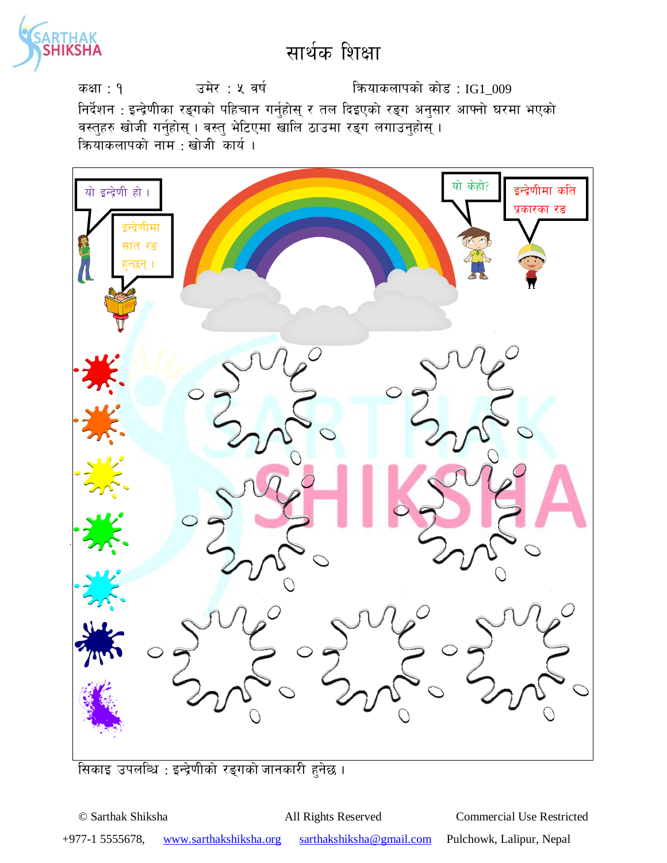

कक्षा : १  $\frac{1}{3}$  उमेर : ५ वर्ष स्वर्ग कियाकलापको कोड : IG1\_009 निर्देशन : इन्द्रेणीका रङ्गको पहिचान गर्नुहोस् र तल दिइएको रङ्ग अनुसार आफ्नो घरमा भएको वस्तुहरु खोजी गर्नुहोस् । वस्तु भेटिएमा खालि ठाउमा रङ्ग लगाउनुहोस् ।  $\overline{\mathsf{a}}$  कियाकलापको नाम : खोजी कार्य ।



सिकाइ उपलब्धि : इन्द्रेणीको रङ्गको जानकारी हुनेछ ।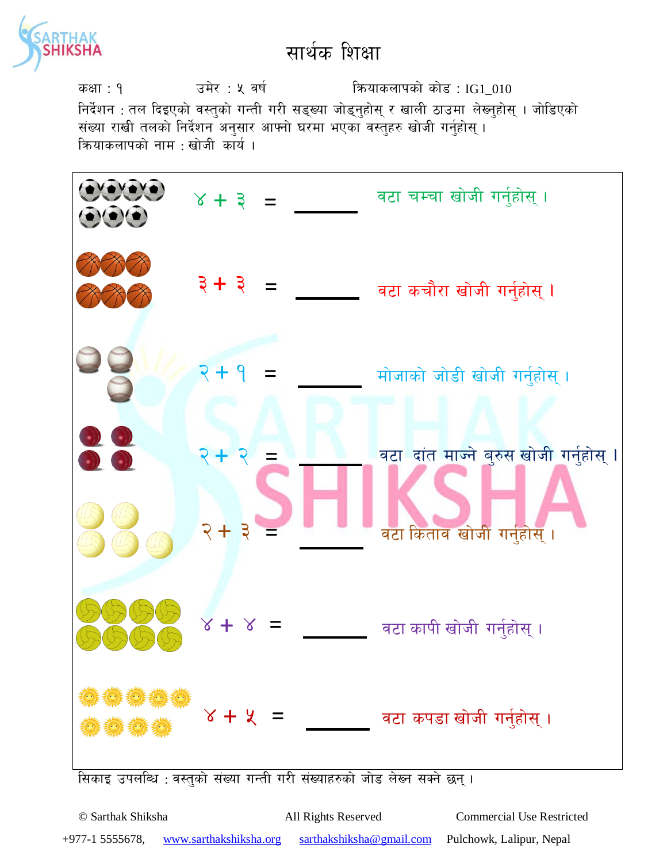

कक्षा : १  $\frac{1}{3}$  उमेर : ५ वर्ष स्वर्ग कियाकलापको कोड : IG1\_010 निर्देशन : तल दिइएको वस्तुको गन्ती गरी सड्ख्या जोड्नुहोस् र खाली ठाउमा लेख्नुहोस् । जोडिएको संख्या राखी तलको निर्देशन अनुसार आफ्नो घरमा भएका वस्तुहरु खोजी गर्नुहोस् । क्रियाकलापको नाम $\,$ : खोजी कार्य ।



सिकाइ उपलब्धि : वस्तुको संख्या गन्ती गरी संख्याहरुको जोड लेख्न सक्ने छन्।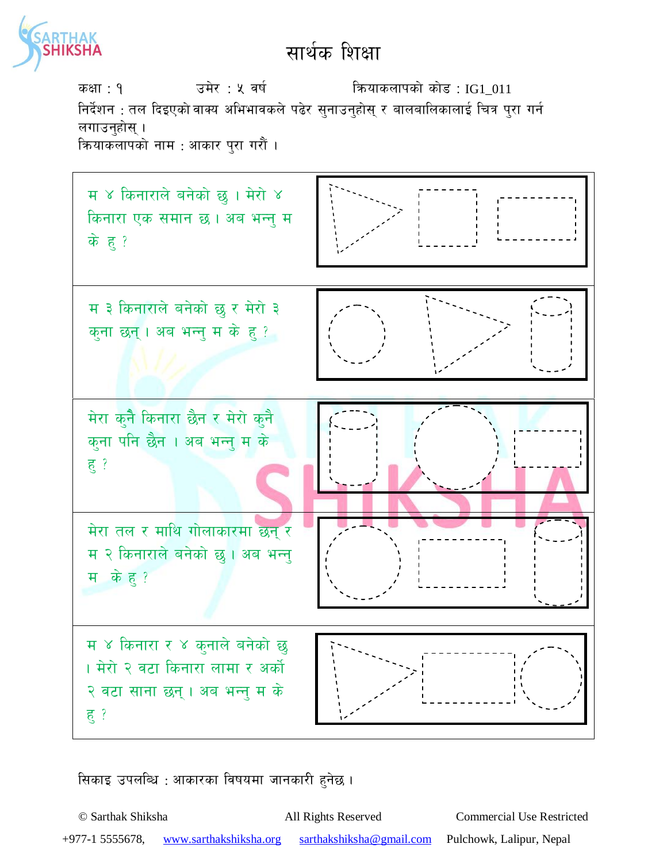

sIff : ! pd]/ : % jif{ lqmofsnfksf] sf]8 : IG1\_011 निर्देशन : तल दिइएको वाक्य अभिभावकले पढेर सुनाउनुहोस् र बालबालिकालाई चित्र पुरा गर्न लगाउनुहोस् । क्रियाकलापको नाम : आकार पुरा गरौं ।



सिकाइ उपलब्धि : आकारका विषयमा जानकारी हुनेछ ।

© Sarthak Shiksha All Rights Reserved Commercial Use Restricted +977-1 5555678, www.sarthakshiksha.org sarthakshiksha@gmail.com Pulchowk, Lalipur, Nepal